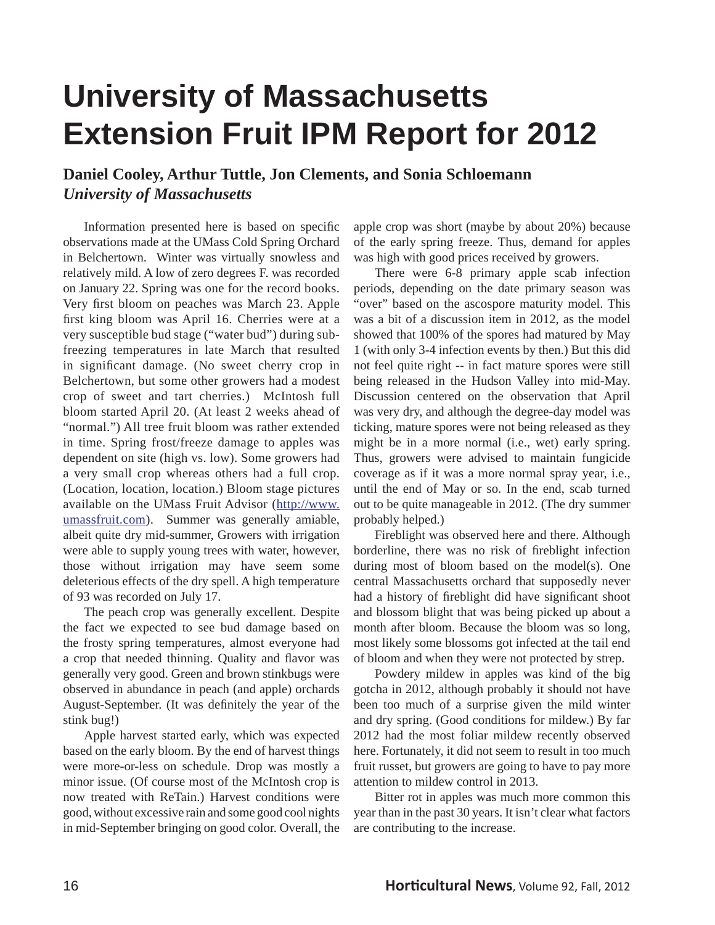## **University of Massachusetts Extension Fruit IPM Report for 2012**

## **Daniel Cooley, Arthur Tuttle, Jon Clements, and Sonia Schloemann** *University of Massachusetts*

Information presented here is based on specific observations made at the UMass Cold Spring Orchard in Belchertown. Winter was virtually snowless and relatively mild. A low of zero degrees F. was recorded on January 22. Spring was one for the record books. Very first bloom on peaches was March 23. Apple first king bloom was April 16. Cherries were at a very susceptible bud stage ("water bud") during subfreezing temperatures in late March that resulted in significant damage. (No sweet cherry crop in Belchertown, but some other growers had a modest crop of sweet and tart cherries.) McIntosh full bloom started April 20. (At least 2 weeks ahead of "normal.") All tree fruit bloom was rather extended in time. Spring frost/freeze damage to apples was dependent on site (high vs. low). Some growers had a very small crop whereas others had a full crop. (Location, location, location.) Bloom stage pictures available on the UMass Fruit Advisor (http://www. umassfruit.com). Summer was generally amiable, albeit quite dry mid-summer, Growers with irrigation were able to supply young trees with water, however, those without irrigation may have seem some deleterious effects of the dry spell. A high temperature of 93 was recorded on July 17.

 The peach crop was generally excellent. Despite the fact we expected to see bud damage based on the frosty spring temperatures, almost everyone had a crop that needed thinning. Quality and flavor was generally very good. Green and brown stinkbugs were observed in abundance in peach (and apple) orchards August-September. (It was definitely the year of the stink bug!)

 Apple harvest started early, which was expected based on the early bloom. By the end of harvest things were more-or-less on schedule. Drop was mostly a minor issue. (Of course most of the McIntosh crop is now treated with ReTain.) Harvest conditions were good, without excessive rain and some good cool nights in mid-September bringing on good color. Overall, the apple crop was short (maybe by about 20%) because of the early spring freeze. Thus, demand for apples was high with good prices received by growers.

 There were 6-8 primary apple scab infection periods, depending on the date primary season was "over" based on the ascospore maturity model. This was a bit of a discussion item in 2012, as the model showed that 100% of the spores had matured by May 1 (with only 3-4 infection events by then.) But this did not feel quite right -- in fact mature spores were still being released in the Hudson Valley into mid-May. Discussion centered on the observation that April was very dry, and although the degree-day model was ticking, mature spores were not being released as they might be in a more normal (i.e., wet) early spring. Thus, growers were advised to maintain fungicide coverage as if it was a more normal spray year, i.e., until the end of May or so. In the end, scab turned out to be quite manageable in 2012. (The dry summer probably helped.)

 Fireblight was observed here and there. Although borderline, there was no risk of fireblight infection during most of bloom based on the model(s). One central Massachusetts orchard that supposedly never had a history of fireblight did have significant shoot and blossom blight that was being picked up about a month after bloom. Because the bloom was so long, most likely some blossoms got infected at the tail end of bloom and when they were not protected by strep.

 Powdery mildew in apples was kind of the big gotcha in 2012, although probably it should not have been too much of a surprise given the mild winter and dry spring. (Good conditions for mildew.) By far 2012 had the most foliar mildew recently observed here. Fortunately, it did not seem to result in too much fruit russet, but growers are going to have to pay more attention to mildew control in 2013.

 Bitter rot in apples was much more common this year than in the past 30 years. It isn't clear what factors are contributing to the increase.